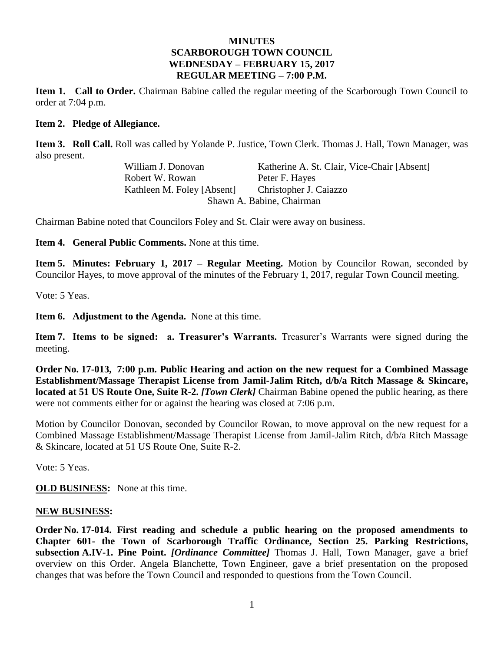#### **MINUTES SCARBOROUGH TOWN COUNCIL WEDNESDAY – FEBRUARY 15, 2017 REGULAR MEETING – 7:00 P.M.**

**Item 1. Call to Order.** Chairman Babine called the regular meeting of the Scarborough Town Council to order at 7:04 p.m.

#### **Item 2. Pledge of Allegiance.**

**Item 3. Roll Call.** Roll was called by Yolande P. Justice, Town Clerk. Thomas J. Hall, Town Manager, was also present.

> William J. Donovan Katherine A. St. Clair, Vice-Chair [Absent] Robert W. Rowan Peter F. Haves Kathleen M. Foley [Absent] Christopher J. Caiazzo Shawn A. Babine, Chairman

Chairman Babine noted that Councilors Foley and St. Clair were away on business.

**Item 4. General Public Comments.** None at this time.

**Item 5. Minutes: February 1, 2017 – Regular Meeting.** Motion by Councilor Rowan, seconded by Councilor Hayes, to move approval of the minutes of the February 1, 2017, regular Town Council meeting.

Vote: 5 Yeas.

**Item 6. Adjustment to the Agenda.** None at this time.

**Item 7. Items to be signed: a. Treasurer's Warrants.** Treasurer's Warrants were signed during the meeting.

**Order No. 17-013, 7:00 p.m. Public Hearing and action on the new request for a Combined Massage Establishment/Massage Therapist License from Jamil-Jalim Ritch, d/b/a Ritch Massage & Skincare, located at 51 US Route One, Suite R-2.** *[Town Clerk]* Chairman Babine opened the public hearing, as there were not comments either for or against the hearing was closed at 7:06 p.m.

Motion by Councilor Donovan, seconded by Councilor Rowan, to move approval on the new request for a Combined Massage Establishment/Massage Therapist License from Jamil-Jalim Ritch, d/b/a Ritch Massage & Skincare, located at 51 US Route One, Suite R-2.

Vote: 5 Yeas.

**OLD BUSINESS:** None at this time.

#### **NEW BUSINESS:**

**Order No. 17-014. First reading and schedule a public hearing on the proposed amendments to Chapter 601- the Town of Scarborough Traffic Ordinance, Section 25. Parking Restrictions, subsection A.IV-1. Pine Point.** *[Ordinance Committee]* Thomas J. Hall, Town Manager, gave a brief overview on this Order. Angela Blanchette, Town Engineer, gave a brief presentation on the proposed changes that was before the Town Council and responded to questions from the Town Council.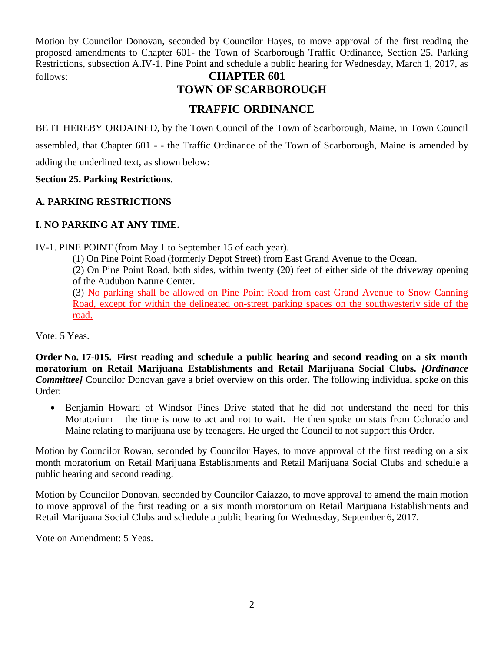Motion by Councilor Donovan, seconded by Councilor Hayes, to move approval of the first reading the proposed amendments to Chapter 601- the Town of Scarborough Traffic Ordinance, Section 25. Parking Restrictions, subsection A.IV-1. Pine Point and schedule a public hearing for Wednesday, March 1, 2017, as follows: **CHAPTER 601**

# **TOWN OF SCARBOROUGH**

## **TRAFFIC ORDINANCE**

BE IT HEREBY ORDAINED, by the Town Council of the Town of Scarborough, Maine, in Town Council assembled, that Chapter 601 - - the Traffic Ordinance of the Town of Scarborough, Maine is amended by

adding the underlined text, as shown below:

**Section 25. Parking Restrictions.**

#### **A. PARKING RESTRICTIONS**

## **I. NO PARKING AT ANY TIME.**

IV-1. PINE POINT (from May 1 to September 15 of each year).

(1) On Pine Point Road (formerly Depot Street) from East Grand Avenue to the Ocean.

(2) On Pine Point Road, both sides, within twenty (20) feet of either side of the driveway opening of the Audubon Nature Center.

(3) No parking shall be allowed on Pine Point Road from east Grand Avenue to Snow Canning Road, except for within the delineated on-street parking spaces on the southwesterly side of the road.

Vote: 5 Yeas.

**Order No. 17-015. First reading and schedule a public hearing and second reading on a six month moratorium on Retail Marijuana Establishments and Retail Marijuana Social Clubs.** *[Ordinance Committee]* Councilor Donovan gave a brief overview on this order. The following individual spoke on this Order:

 Benjamin Howard of Windsor Pines Drive stated that he did not understand the need for this Moratorium – the time is now to act and not to wait. He then spoke on stats from Colorado and Maine relating to marijuana use by teenagers. He urged the Council to not support this Order.

Motion by Councilor Rowan, seconded by Councilor Hayes, to move approval of the first reading on a six month moratorium on Retail Marijuana Establishments and Retail Marijuana Social Clubs and schedule a public hearing and second reading.

Motion by Councilor Donovan, seconded by Councilor Caiazzo, to move approval to amend the main motion to move approval of the first reading on a six month moratorium on Retail Marijuana Establishments and Retail Marijuana Social Clubs and schedule a public hearing for Wednesday, September 6, 2017.

Vote on Amendment: 5 Yeas.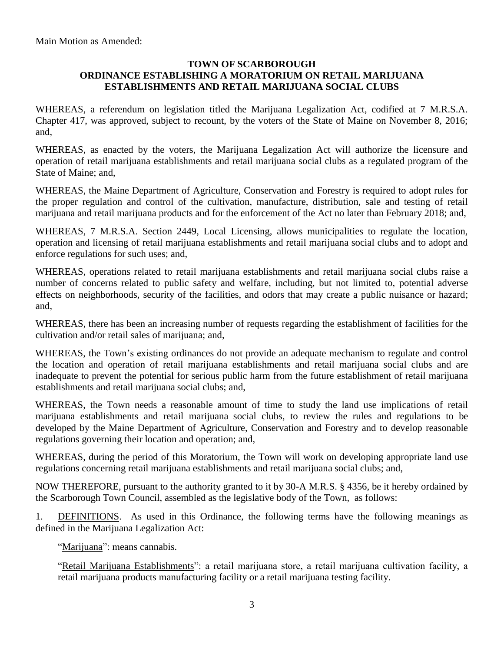Main Motion as Amended:

#### **TOWN OF SCARBOROUGH ORDINANCE ESTABLISHING A MORATORIUM ON RETAIL MARIJUANA ESTABLISHMENTS AND RETAIL MARIJUANA SOCIAL CLUBS**

WHEREAS, a referendum on legislation titled the Marijuana Legalization Act, codified at 7 M.R.S.A. Chapter 417, was approved, subject to recount, by the voters of the State of Maine on November 8, 2016; and,

WHEREAS, as enacted by the voters, the Marijuana Legalization Act will authorize the licensure and operation of retail marijuana establishments and retail marijuana social clubs as a regulated program of the State of Maine; and,

WHEREAS, the Maine Department of Agriculture, Conservation and Forestry is required to adopt rules for the proper regulation and control of the cultivation, manufacture, distribution, sale and testing of retail marijuana and retail marijuana products and for the enforcement of the Act no later than February 2018; and,

WHEREAS, 7 M.R.S.A. Section 2449, Local Licensing, allows municipalities to regulate the location, operation and licensing of retail marijuana establishments and retail marijuana social clubs and to adopt and enforce regulations for such uses; and,

WHEREAS, operations related to retail marijuana establishments and retail marijuana social clubs raise a number of concerns related to public safety and welfare, including, but not limited to, potential adverse effects on neighborhoods, security of the facilities, and odors that may create a public nuisance or hazard; and,

WHEREAS, there has been an increasing number of requests regarding the establishment of facilities for the cultivation and/or retail sales of marijuana; and,

WHEREAS, the Town's existing ordinances do not provide an adequate mechanism to regulate and control the location and operation of retail marijuana establishments and retail marijuana social clubs and are inadequate to prevent the potential for serious public harm from the future establishment of retail marijuana establishments and retail marijuana social clubs; and,

WHEREAS, the Town needs a reasonable amount of time to study the land use implications of retail marijuana establishments and retail marijuana social clubs, to review the rules and regulations to be developed by the Maine Department of Agriculture, Conservation and Forestry and to develop reasonable regulations governing their location and operation; and,

WHEREAS, during the period of this Moratorium, the Town will work on developing appropriate land use regulations concerning retail marijuana establishments and retail marijuana social clubs; and,

NOW THEREFORE, pursuant to the authority granted to it by 30-A M.R.S. § 4356, be it hereby ordained by the Scarborough Town Council, assembled as the legislative body of the Town, as follows:

1. DEFINITIONS. As used in this Ordinance, the following terms have the following meanings as defined in the Marijuana Legalization Act:

"Marijuana": means cannabis.

"Retail Marijuana Establishments": a retail marijuana store, a retail marijuana cultivation facility, a retail marijuana products manufacturing facility or a retail marijuana testing facility.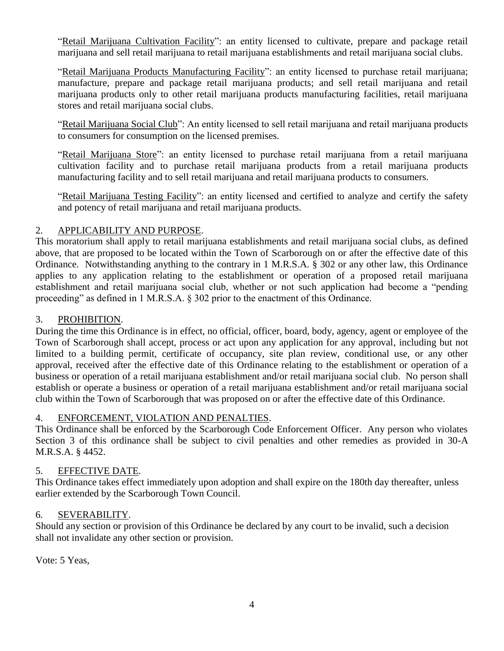"Retail Marijuana Cultivation Facility": an entity licensed to cultivate, prepare and package retail marijuana and sell retail marijuana to retail marijuana establishments and retail marijuana social clubs.

"Retail Marijuana Products Manufacturing Facility": an entity licensed to purchase retail marijuana; manufacture, prepare and package retail marijuana products; and sell retail marijuana and retail marijuana products only to other retail marijuana products manufacturing facilities, retail marijuana stores and retail marijuana social clubs.

"Retail Marijuana Social Club": An entity licensed to sell retail marijuana and retail marijuana products to consumers for consumption on the licensed premises.

"Retail Marijuana Store": an entity licensed to purchase retail marijuana from a retail marijuana cultivation facility and to purchase retail marijuana products from a retail marijuana products manufacturing facility and to sell retail marijuana and retail marijuana products to consumers.

"Retail Marijuana Testing Facility": an entity licensed and certified to analyze and certify the safety and potency of retail marijuana and retail marijuana products.

#### 2. APPLICABILITY AND PURPOSE.

This moratorium shall apply to retail marijuana establishments and retail marijuana social clubs, as defined above, that are proposed to be located within the Town of Scarborough on or after the effective date of this Ordinance. Notwithstanding anything to the contrary in 1 M.R.S.A. § 302 or any other law, this Ordinance applies to any application relating to the establishment or operation of a proposed retail marijuana establishment and retail marijuana social club, whether or not such application had become a "pending proceeding" as defined in 1 M.R.S.A. § 302 prior to the enactment of this Ordinance.

#### 3. PROHIBITION.

During the time this Ordinance is in effect, no official, officer, board, body, agency, agent or employee of the Town of Scarborough shall accept, process or act upon any application for any approval, including but not limited to a building permit, certificate of occupancy, site plan review, conditional use, or any other approval, received after the effective date of this Ordinance relating to the establishment or operation of a business or operation of a retail marijuana establishment and/or retail marijuana social club. No person shall establish or operate a business or operation of a retail marijuana establishment and/or retail marijuana social club within the Town of Scarborough that was proposed on or after the effective date of this Ordinance.

#### 4. ENFORCEMENT, VIOLATION AND PENALTIES.

This Ordinance shall be enforced by the Scarborough Code Enforcement Officer. Any person who violates Section 3 of this ordinance shall be subject to civil penalties and other remedies as provided in 30-A M.R.S.A. § 4452.

#### 5. EFFECTIVE DATE.

This Ordinance takes effect immediately upon adoption and shall expire on the 180th day thereafter, unless earlier extended by the Scarborough Town Council.

#### 6. SEVERABILITY.

Should any section or provision of this Ordinance be declared by any court to be invalid, such a decision shall not invalidate any other section or provision.

Vote: 5 Yeas,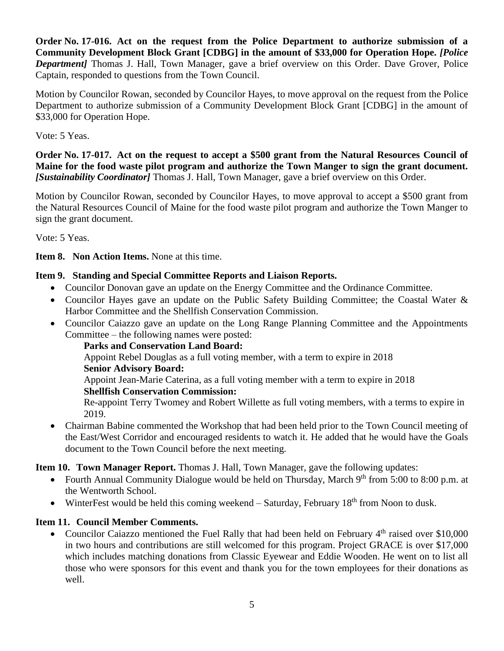**Order No. 17-016. Act on the request from the Police Department to authorize submission of a Community Development Block Grant [CDBG] in the amount of \$33,000 for Operation Hope.** *[Police Department]* Thomas J. Hall, Town Manager, gave a brief overview on this Order. Dave Grover, Police Captain, responded to questions from the Town Council.

Motion by Councilor Rowan, seconded by Councilor Hayes, to move approval on the request from the Police Department to authorize submission of a Community Development Block Grant [CDBG] in the amount of \$33,000 for Operation Hope.

Vote: 5 Yeas.

**Order No. 17-017. Act on the request to accept a \$500 grant from the Natural Resources Council of Maine for the food waste pilot program and authorize the Town Manger to sign the grant document.**  *[Sustainability Coordinator]* Thomas J. Hall, Town Manager, gave a brief overview on this Order.

Motion by Councilor Rowan, seconded by Councilor Hayes, to move approval to accept a \$500 grant from the Natural Resources Council of Maine for the food waste pilot program and authorize the Town Manger to sign the grant document.

Vote: 5 Yeas.

**Item 8. Non Action Items.** None at this time.

## **Item 9. Standing and Special Committee Reports and Liaison Reports.**

- Councilor Donovan gave an update on the Energy Committee and the Ordinance Committee.
- Councilor Hayes gave an update on the Public Safety Building Committee; the Coastal Water & Harbor Committee and the Shellfish Conservation Commission.
- Councilor Caiazzo gave an update on the Long Range Planning Committee and the Appointments Committee – the following names were posted:

**Parks and Conservation Land Board:**

Appoint Rebel Douglas as a full voting member, with a term to expire in 2018 **Senior Advisory Board:**

Appoint Jean-Marie Caterina, as a full voting member with a term to expire in 2018

#### **Shellfish Conservation Commission:**

Re-appoint Terry Twomey and Robert Willette as full voting members, with a terms to expire in 2019.

 Chairman Babine commented the Workshop that had been held prior to the Town Council meeting of the East/West Corridor and encouraged residents to watch it. He added that he would have the Goals document to the Town Council before the next meeting.

## **Item 10. Town Manager Report.** Thomas J. Hall, Town Manager, gave the following updates:

- Fourth Annual Community Dialogue would be held on Thursday, March  $9<sup>th</sup>$  from 5:00 to 8:00 p.m. at the Wentworth School.
- WinterFest would be held this coming weekend Saturday, February  $18<sup>th</sup>$  from Noon to dusk.

## **Item 11. Council Member Comments.**

• Councilor Caiazzo mentioned the Fuel Rally that had been held on February 4<sup>th</sup> raised over \$10,000 in two hours and contributions are still welcomed for this program. Project GRACE is over \$17,000 which includes matching donations from Classic Eyewear and Eddie Wooden. He went on to list all those who were sponsors for this event and thank you for the town employees for their donations as well.